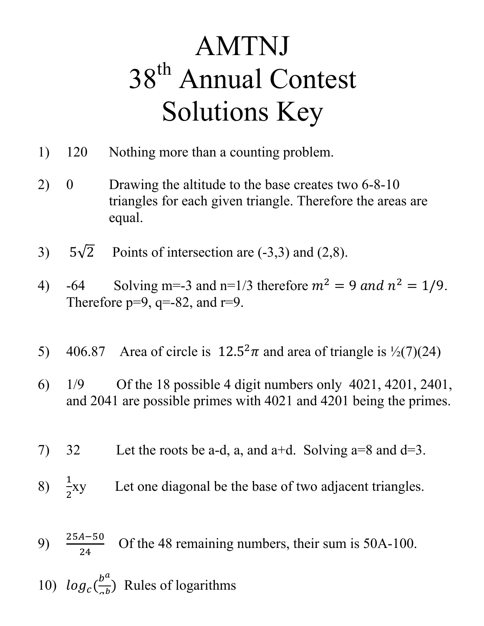## AMTNJ 38<sup>th</sup> Annual Contest Solutions Key

- 1) 120 Nothing more than a counting problem.
- 2) 0 Drawing the altitude to the base creates two 6-8-10 triangles for each given triangle. Therefore the areas are equal.
- 3)  $5\sqrt{2}$  Points of intersection are (-3,3) and (2,8).
- 4) -64 Solving m=-3 and n=1/3 therefore  $m^2 = 9$  and  $n^2 = 1/9$ . Therefore  $p=9$ ,  $q=.82$ , and  $r=9$ .
- 5) 406.87 Area of circle is  $12.5^2 \pi$  and area of triangle is  $\frac{1}{2}(7)(24)$
- 6) 1/9 Of the 18 possible 4 digit numbers only 4021, 4201, 2401, and 2041 are possible primes with 4021 and 4201 being the primes.
- 7) 32 Let the roots be a-d, a, and a+d. Solving  $a=8$  and  $d=3$ .
- 8)  $\frac{1}{2}$  $\overline{\mathbf{c}}$ Let one diagonal be the base of two adjacent triangles.
- 9)  $\frac{25A-50}{24}$ Of the 48 remaining numbers, their sum is 50A-100.
- 10)  $log_c($  $b^a$  $\frac{b}{ab}$ ) Rules of logarithms